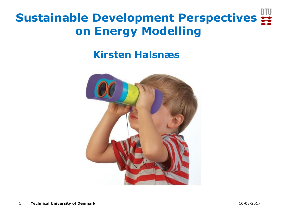# **Sustainable Development Perspectives on Energy Modelling**

#### **Kirsten Halsnæs**

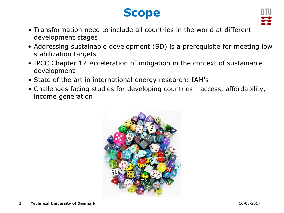#### **Scope**



- Transformation need to include all countries in the world at different development stages
- Addressing sustainable development (SD) is a prerequisite for meeting low stabilization targets
- IPCC Chapter 17:Acceleration of mitigation in the context of sustainable development
- State of the art in international energy research: IAM's
- Challenges facing studies for developing countries access, affordability, income generation

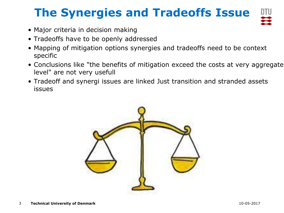## **The Synergies and Tradeoffs Issue**

- Major criteria in decision making
- Tradeoffs have to be openly addressed
- Mapping of mitigation options synergies and tradeoffs need to be context specific
- Conclusions like "the benefits of mitigation exceed the costs at very aggregate level" are not very usefull
- Tradeoff and synergi issues are linked Just transition and stranded assets issues

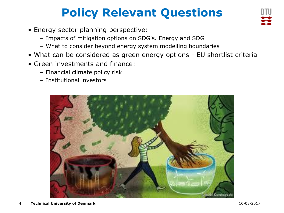# **Policy Relevant Questions**

- Energy sector planning perspective:
	- Impacts of mitigation options on SDG's. Energy and SDG
	- What to consider beyond energy system modelling boundaries
- What can be considered as green energy options EU shortlist criteria
- Green investments and finance:
	- Financial climate policy risk
	- Institutional investors

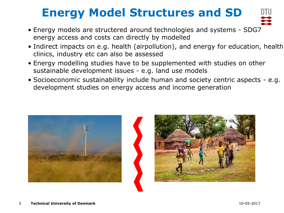# **Energy Model Structures and SD**

- Energy models are structered around technologies and systems SDG7 energy access and costs can directly by modelled
- Indirect impacts on e.g. health (airpollution), and energy for education, health clinics, industry etc can also be assessed
- Energy modelling studies have to be supplemented with studies on other sustainable development issues - e.g. land use models
- Socioeconomic sustainability include human and society centric aspects e.g. development studies on energy access and income generation



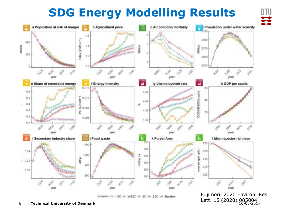#### **SDG Energy Modelling Results**

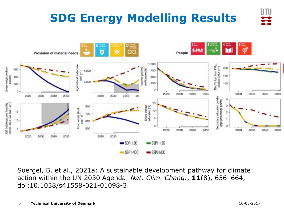

Soergel, B. et al., 2021a: A sustainable development pathway for climate action within the UN 2030 Agenda. *Nat. Clim. Chang.*, **11**(8), 656–664, doi:10.1038/s41558-021-01098-3.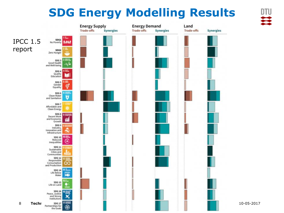#### **SDG Energy Modelling Results**

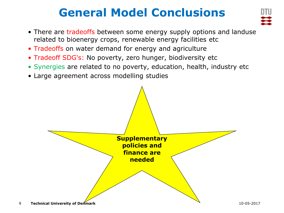#### **General Model Conclusions**



- There are tradeoffs between some energy supply options and landuse related to bioenergy crops, renewable energy facilities etc
- Tradeoffs on water demand for energy and agriculture
- Tradeoff SDG's: No poverty, zero hunger, biodiversity etc
- Synergies are related to no poverty, education, health, industry etc
- Large agreement across modelling studies

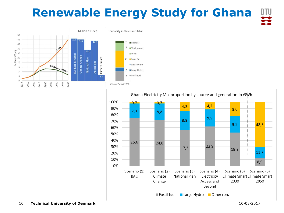# **Renewable Energy Study for Ghana**



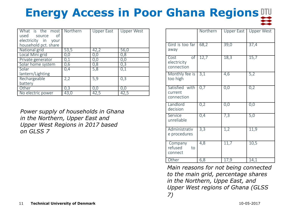# **Energy Access in Poor Ghana Regions**

| What is the most Northern<br>used source of<br>electricity in your<br>household pct. share |      | <b>Upper East</b> | <b>Upper West</b> |
|--------------------------------------------------------------------------------------------|------|-------------------|-------------------|
| National grid                                                                              | 53,5 | 42,2              | 56,0              |
| Local Mini grid                                                                            | 0,0  | 0,0               | 0,8               |
| Private generator                                                                          | 0,1  | 0,0               | 0,0               |
| Solar home system                                                                          | 0,6  | 0,8               | 0,3               |
| Solar<br>lantern/Lighting                                                                  | 0,4  | 5,8               | 0,1               |
| Rechargeable<br>battery                                                                    | 2,2  | 5,9               | 0,3               |
| Other                                                                                      | 0,3  | 0,0               | 0,0               |
| No electric power                                                                          | 43,0 | 42,5              | 42,5              |

*Power supply of households in Ghana in the Northern, Upper East and Upper West Regions in 2017 based on GLSS 7*

|                                         | Northern |      | Upper East   Upper West |
|-----------------------------------------|----------|------|-------------------------|
| Gird is too far<br>away                 | 68,2     | 39,0 | 37,4                    |
| of<br>Cost<br>electricity<br>connection | 12,7     | 18,3 | 15,7                    |
| Monthly fee is<br>too high              | 3,1      | 4,6  | 5,2                     |
| Satisfied with<br>current<br>connection | 0,7      | 0,0  | 0,2                     |
| Landlord<br>decision                    | 0,2      | 0,0  | 0,0                     |
| Service<br>unreliable                   | 0,4      | 7,3  | 5,0                     |
| Administrativ<br>e procedures           | 3,3      | 1,2  | 11,9                    |
| Company<br>refused<br>to<br>connect     | 4,8      | 11,7 | 10,5                    |
| Other                                   | 6,8      | 17,9 | 14,1                    |

*Main reasons for not being connected to the main grid, percentage shares in the Northern, Uppe East, and Upper West regions of Ghana (GLSS 7)*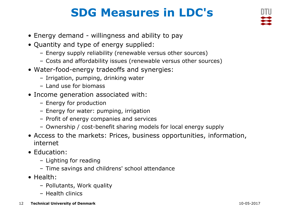### **SDG Measures in LDC's**

- Energy demand willingness and ability to pay
- Quantity and type of energy supplied:
	- Energy supply reliability (renewable versus other sources)
	- Costs and affordability issues (renewable versus other sources)
- Water-food-energy tradeoffs and synergies:
	- Irrigation, pumping, drinking water
	- Land use for biomass
- Income generation associated with:
	- Energy for production
	- Energy for water: pumping, irrigation
	- Profit of energy companies and services
	- Ownership / cost-benefit sharing models for local energy supply
- Access to the markets: Prices, business opportunities, information, internet
- Education:
	- Lighting for reading
	- Time savings and childrens' school attendance
- Health:
	- Pollutants, Work quality
	- Health clinics
- 12 **Technical University of Denmark** 10-05-2017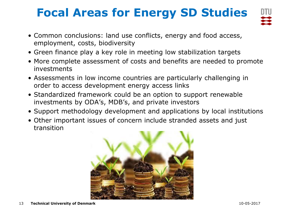# **Focal Areas for Energy SD Studies**



- Common conclusions: land use conflicts, energy and food access, employment, costs, biodiversity
- Green finance play a key role in meeting low stabilization targets
- More complete assessment of costs and benefits are needed to promote investments
- Assessments in low income countries are particularly challenging in order to access development energy access links
- Standardized framework could be an option to support renewable investments by ODA's, MDB's, and private investors
- Support methodology development and applications by local institutions
- Other important issues of concern include stranded assets and just transition